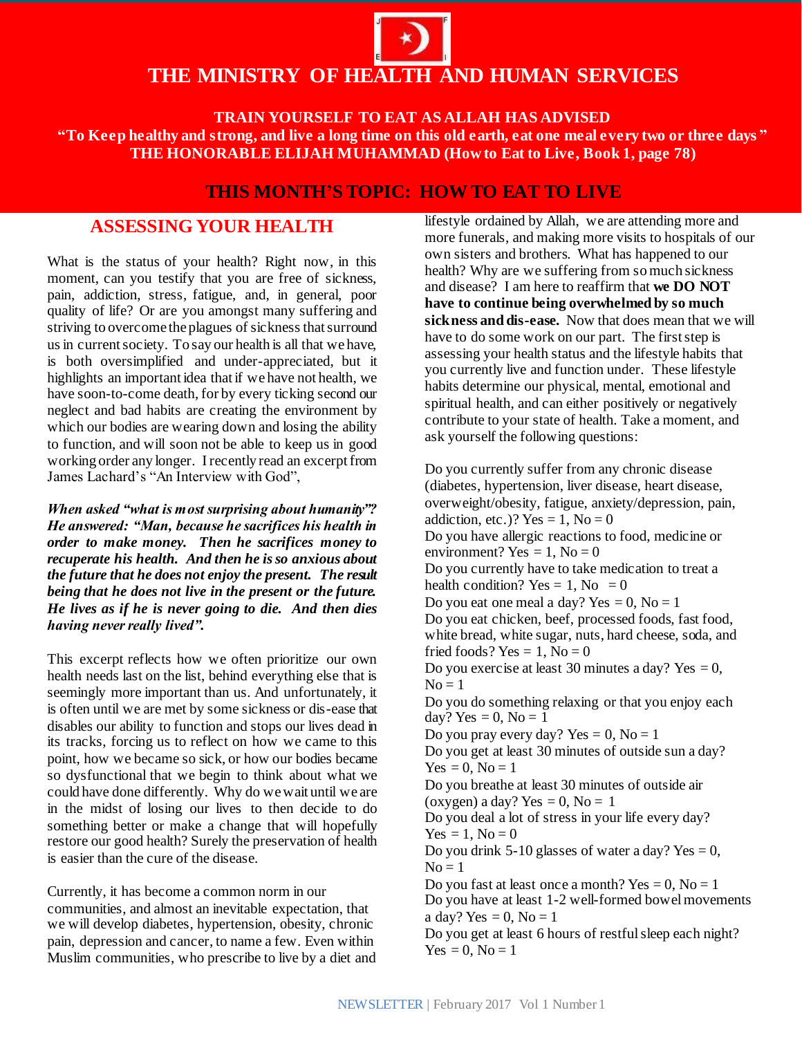# **THE MINISTRY OF HEALTH AND HUMAN SERVICES**

**TRAIN YOURSELF TO EAT AS ALLAH HAS ADVISED "To Keep healthy and strong, and live a long time on this old earth, eat one meal every two or three days " THE HONORABLE ELIJAH MUHAMMAD (How to Eat to Live, Book 1, page 78)**

## **THIS MONTH'S TOPIC: HOW TO EAT TO LIVE**

### **ASSESSING YOUR HEALTH**

What is the status of your health? Right now, in this moment, can you testify that you are free of sickness, pain, addiction, stress, fatigue, and, in general, poor quality of life? Or are you amongst many suffering and striving to overcome the plagues of sickness that surround us in current society. To say our health is all that we have, is both oversimplified and under-appreciated, but it highlights an important idea that if we have not health, we have soon-to-come death, for by every ticking second our neglect and bad habits are creating the environment by which our bodies are wearing down and losing the ability to function, and will soon not be able to keep us in good working order any longer. I recently read an excerpt from James Lachard's "An Interview with God",

*When asked "what is most surprising about humanity"? He answered: "Man, because he sacrifices his health in order to make money. Then he sacrifices money to recuperate his health. And then he is so anxious about the future that he does not enjoy the present. The result being that he does not live in the present or the future. He lives as if he is never going to die. And then dies having never really lived".*

This excerpt reflects how we often prioritize our own health needs last on the list, behind everything else that is seemingly more important than us. And unfortunately, it is often until we are met by some sickness or dis-ease that disables our ability to function and stops our lives dead in its tracks, forcing us to reflect on how we came to this point, how we became so sick, or how our bodies became so dysfunctional that we begin to think about what we could have done differently. Why do we wait until we are in the midst of losing our lives to then decide to do something better or make a change that will hopefully restore our good health? Surely the preservation of health is easier than the cure of the disease.

Currently, it has become a common norm in our communities, and almost an inevitable expectation, that we will develop diabetes, hypertension, obesity, chronic pain, depression and cancer, to name a few. Even within Muslim communities, who prescribe to live by a diet and lifestyle ordained by Allah, we are attending more and more funerals, and making more visits to hospitals of our own sisters and brothers. What has happened to our health? Why are we suffering from so much sickness and disease? I am here to reaffirm that **we DO NOT have to continue being overwhelmed by so much sickness and dis-ease.** Now that does mean that we will have to do some work on our part. The first step is assessing your health status and the lifestyle habits that you currently live and function under. These lifestyle habits determine our physical, mental, emotional and spiritual health, and can either positively or negatively contribute to your state of health. Take a moment, and ask yourself the following questions:

Do you currently suffer from any chronic disease (diabetes, hypertension, liver disease, heart disease, overweight/obesity, fatigue, anxiety/depression, pain, addiction, etc.)? Yes = 1,  $No = 0$ Do you have allergic reactions to food, medicine or environment? Yes  $= 1$ , No  $= 0$ Do you currently have to take medication to treat a health condition? Yes = 1, No = 0 Do you eat one meal a day? Yes  $= 0$ , No  $= 1$ Do you eat chicken, beef, processed foods, fast food, white bread, white sugar, nuts, hard cheese, soda, and fried foods? Yes  $= 1$ , No  $= 0$ Do you exercise at least 30 minutes a day? Yes  $= 0$ ,  $No = 1$ Do you do something relaxing or that you enjoy each day? Yes  $= 0$ , No  $= 1$ Do you pray every day? Yes  $= 0$ , No  $= 1$ Do you get at least 30 minutes of outside sun a day?  $Yes = 0, No = 1$ Do you breathe at least 30 minutes of outside air (oxygen) a day? Yes  $= 0$ , No  $= 1$ Do you deal a lot of stress in your life every day?  $Yes = 1, No = 0$ Do you drink 5-10 glasses of water a day? Yes  $= 0$ ,  $No = 1$ Do you fast at least once a month? Yes  $= 0$ , No  $= 1$ Do you have at least 1-2 well-formed bowel movements a day? Yes  $= 0$ , No  $= 1$ Do you get at least 6 hours of restful sleep each night?  $Yes = 0, No = 1$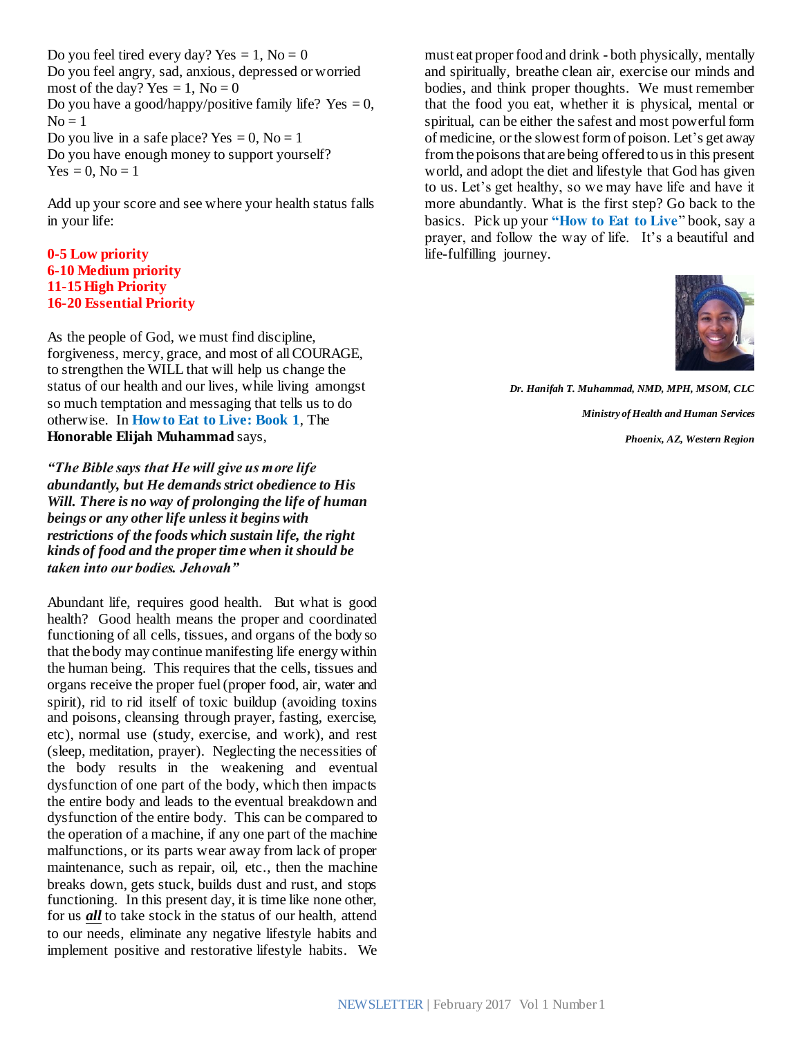Do you feel tired every day? Yes  $= 1$ , No  $= 0$ Do you feel angry, sad, anxious, depressed or worried most of the day? Yes  $= 1$ , No  $= 0$ Do you have a good/happy/positive family life? Yes  $= 0$ ,  $No = 1$ Do you live in a safe place? Yes  $= 0$ , No  $= 1$ Do you have enough money to support yourself?  $Yes = 0, No = 1$ 

Add up your score and see where your health status falls in your life:

#### **0-5 Low priority 6-10 Medium priority 11-15High Priority 16-20 Essential Priority**

As the people of God, we must find discipline, forgiveness, mercy, grace, and most of all COURAGE, to strengthen the WILL that will help us change the status of our health and our lives, while living amongst so much temptation and messaging that tells us to do otherwise. In **How to Eat to Live: Book 1**, The **Honorable Elijah Muhammad** says,

*"The Bible says that He will give us more life abundantly, but He demands strict obedience to His Will. There is no way of prolonging the life of human beings or any other life unless it begins with restrictions of the foods which sustain life, the right kinds of food and the proper time when it should be taken into our bodies. Jehovah"* 

Abundant life, requires good health. But what is good health? Good health means the proper and coordinated functioning of all cells, tissues, and organs of the body so that the body may continue manifesting life energy within the human being. This requires that the cells, tissues and organs receive the proper fuel (proper food, air, water and spirit), rid to rid itself of toxic buildup (avoiding toxins and poisons, cleansing through prayer, fasting, exercise, etc), normal use (study, exercise, and work), and rest (sleep, meditation, prayer). Neglecting the necessities of the body results in the weakening and eventual dysfunction of one part of the body, which then impacts the entire body and leads to the eventual breakdown and dysfunction of the entire body. This can be compared to the operation of a machine, if any one part of the machine malfunctions, or its parts wear away from lack of proper maintenance, such as repair, oil, etc., then the machine breaks down, gets stuck, builds dust and rust, and stops functioning. In this present day, it is time like none other, for us *all* to take stock in the status of our health, attend to our needs, eliminate any negative lifestyle habits and implement positive and restorative lifestyle habits. We

must eat proper food and drink - both physically, mentally and spiritually, breathe clean air, exercise our minds and bodies, and think proper thoughts. We must remember that the food you eat, whether it is physical, mental or spiritual, can be either the safest and most powerful form of medicine, or the slowest form of poison. Let's get away from the poisons that are being offered to us in this present world, and adopt the diet and lifestyle that God has given to us. Let's get healthy, so we may have life and have it more abundantly. What is the first step? Go back to the basics. Pick up your **"How to Eat to Live**" book, say a prayer, and follow the way of life. It's a beautiful and life-fulfilling journey.



*Dr. Hanifah T. Muhammad, NMD, MPH, MSOM, CLC Ministry of Health and Human Services*

*Phoenix, AZ, Western Region*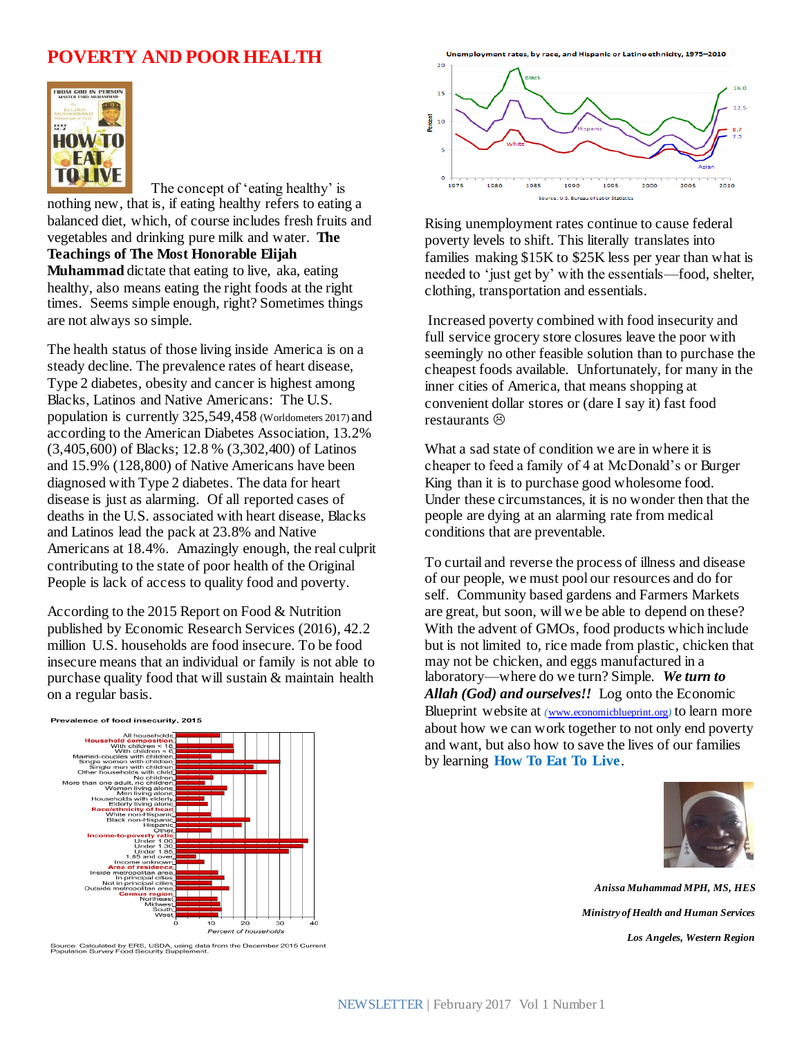### **POVERTY AND POOR HEALTH**



 The concept of 'eating healthy' is nothing new, that is, if eating healthy refers to eating a balanced diet, which, of course includes fresh fruits and vegetables and drinking pure milk and water. **The Teachings of The Most Honorable Elijah Muhammad** dictate that eating to live, aka, eating healthy, also means eating the right foods at the right times. Seems simple enough, right? Sometimes things are not always so simple.

The health status of those living inside America is on a steady decline. The prevalence rates of heart disease, Type 2 diabetes, obesity and cancer is highest among Blacks, Latinos and Native Americans: The U.S. population is currently 325,549,458 (Worldometers 2017) and according to the American Diabetes Association, 13.2% (3,405,600) of Blacks; 12.8 % (3,302,400) of Latinos and 15.9% (128,800) of Native Americans have been diagnosed with Type 2 diabetes. The data for heart disease is just as alarming. Of all reported cases of deaths in the U.S. associated with heart disease, Blacks and Latinos lead the pack at 23.8% and Native Americans at 18.4%. Amazingly enough, the real culprit contributing to the state of poor health of the Original People is lack of access to quality food and poverty.

According to the 2015 Report on Food & Nutrition published by Economic Research Services (2016), 42.2 million U.S. households are food insecure. To be food insecure means that an individual or family is not able to purchase quality food that will sustain & maintain health on a regular basis.



Source: Calculated by ERS, USDA, using data from the December 2015 Current<br>Population Survey Food Security Supplement.

**Lin** ployment rates, by race, and Hispanic or Latino ethnicity, 1975–2010



Rising unemployment rates continue to cause federal poverty levels to shift. This literally translates into families making \$15K to \$25K less per year than what is needed to 'just get by' with the essentials—food, shelter, clothing, transportation and essentials.

Increased poverty combined with food insecurity and full service grocery store closures leave the poor with seemingly no other feasible solution than to purchase the cheapest foods available. Unfortunately, for many in the inner cities of America, that means shopping at convenient dollar stores or (dare I say it) fast food restaurants  $\otimes$ 

What a sad state of condition we are in where it is cheaper to feed a family of 4 at McDonald's or Burger King than it is to purchase good wholesome food. Under these circumstances, it is no wonder then that the people are dying at an alarming rate from medical conditions that are preventable.

To curtail and reverse the process of illness and disease of our people, we must pool our resources and do for self. Community based gardens and Farmers Markets are great, but soon, will we be able to depend on these? With the advent of GMOs, food products which include but is not limited to, rice made from plastic, chicken that may not be chicken, and eggs manufactured in a laboratory—where do we turn? Simple. *We turn to Allah (God) and ourselves!!* Log onto the Economic Blueprint website at *(*[www.economicblueprint.org](http://www.economicblueprint.org/)*)* to learn more about how we can work together to not only end poverty and want, but also how to save the lives of our families by learning **How To Eat To Live**.



*Anissa Muhammad MPH, MS, HES Ministry of Health and Human Services Los Angeles, Western Region*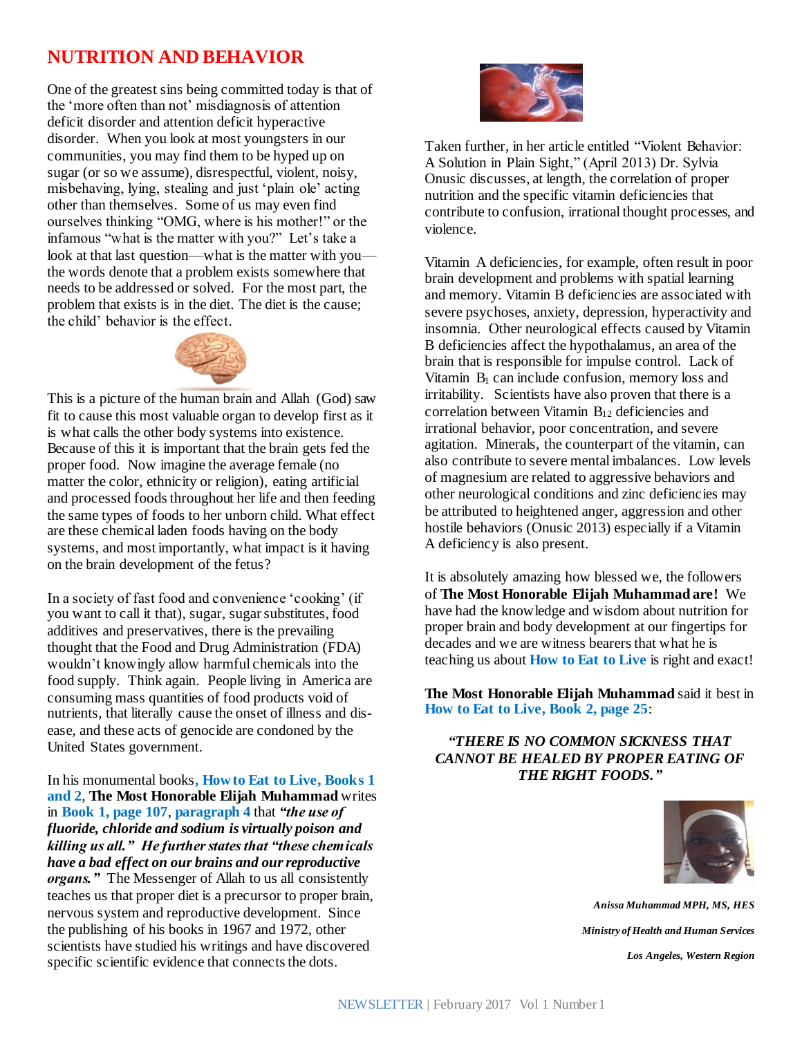## **NUTRITION AND BEHAVIOR**

One of the greatest sins being committed today is that of the 'more often than not' misdiagnosis of attention deficit disorder and attention deficit hyperactive disorder. When you look at most youngsters in our communities, you may find them to be hyped up on sugar (or so we assume), disrespectful, violent, noisy, misbehaving, lying, stealing and just 'plain ole' acting other than themselves. Some of us may even find ourselves thinking "OMG, where is his mother!" or the infamous "what is the matter with you?" Let's take a look at that last question—what is the matter with you the words denote that a problem exists somewhere that needs to be addressed or solved. For the most part, the problem that exists is in the diet. The diet is the cause; the child' behavior is the effect.



This is a picture of the human brain and Allah (God) saw fit to cause this most valuable organ to develop first as it is what calls the other body systems into existence. Because of this it is important that the brain gets fed the proper food. Now imagine the average female (no matter the color, ethnicity or religion), eating artificial and processed foods throughout her life and then feeding the same types of foods to her unborn child. What effect are these chemical laden foods having on the body systems, and most importantly, what impact is it having on the brain development of the fetus?

In a society of fast food and convenience 'cooking' (if you want to call it that), sugar, sugar substitutes, food additives and preservatives, there is the prevailing thought that the Food and Drug Administration (FDA) wouldn't knowingly allow harmful chemicals into the food supply. Think again. People living in America are consuming mass quantities of food products void of nutrients, that literally cause the onset of illness and disease, and these acts of genocide are condoned by the United States government.

In his monumental books**, How to Eat to Live, Books 1 and 2**, **The Most Honorable Elijah Muhammad** writes in **Book 1, page 107**, **paragraph 4** that *"the use of fluoride, chloride and sodium is virtually poison and killing us all." He further states that "these chemicals have a bad effect on our brains and our reproductive organs."* The Messenger of Allah to us all consistently teaches us that proper diet is a precursor to proper brain, nervous system and reproductive development. Since the publishing of his books in 1967 and 1972, other scientists have studied his writings and have discovered specific scientific evidence that connects the dots.



Taken further, in her article entitled "Violent Behavior: A Solution in Plain Sight," (April 2013) Dr. Sylvia Onusic discusses, at length, the correlation of proper nutrition and the specific vitamin deficiencies that contribute to confusion, irrational thought processes, and violence.

Vitamin A deficiencies, for example, often result in poor brain development and problems with spatial learning and memory. Vitamin B deficiencies are associated with severe psychoses, anxiety, depression, hyperactivity and insomnia. Other neurological effects caused by Vitamin B deficiencies affect the hypothalamus, an area of the brain that is responsible for impulse control. Lack of Vitamin  $B_1$  can include confusion, memory loss and irritability. Scientists have also proven that there is a correlation between Vitamin B<sup>12</sup> deficiencies and irrational behavior, poor concentration, and severe agitation. Minerals, the counterpart of the vitamin, can also contribute to severe mental imbalances. Low levels of magnesium are related to aggressive behaviors and other neurological conditions and zinc deficiencies may be attributed to heightened anger, aggression and other hostile behaviors (Onusic 2013) especially if a Vitamin A deficiency is also present.

It is absolutely amazing how blessed we, the followers of **The Most Honorable Elijah Muhammad are!** We have had the knowledge and wisdom about nutrition for proper brain and body development at our fingertips for decades and we are witness bearers that what he is teaching us about **How to Eat to Live** is right and exact!

**The Most Honorable Elijah Muhammad** said it best in **How to Eat to Live, Book 2, page 25**:

*"THERE IS NO COMMON SICKNESS THAT CANNOT BE HEALED BY PROPER EATING OF THE RIGHT FOODS."*



*Anissa Muhammad MPH, MS, HES Ministry of Health and Human Services Los Angeles, Western Region*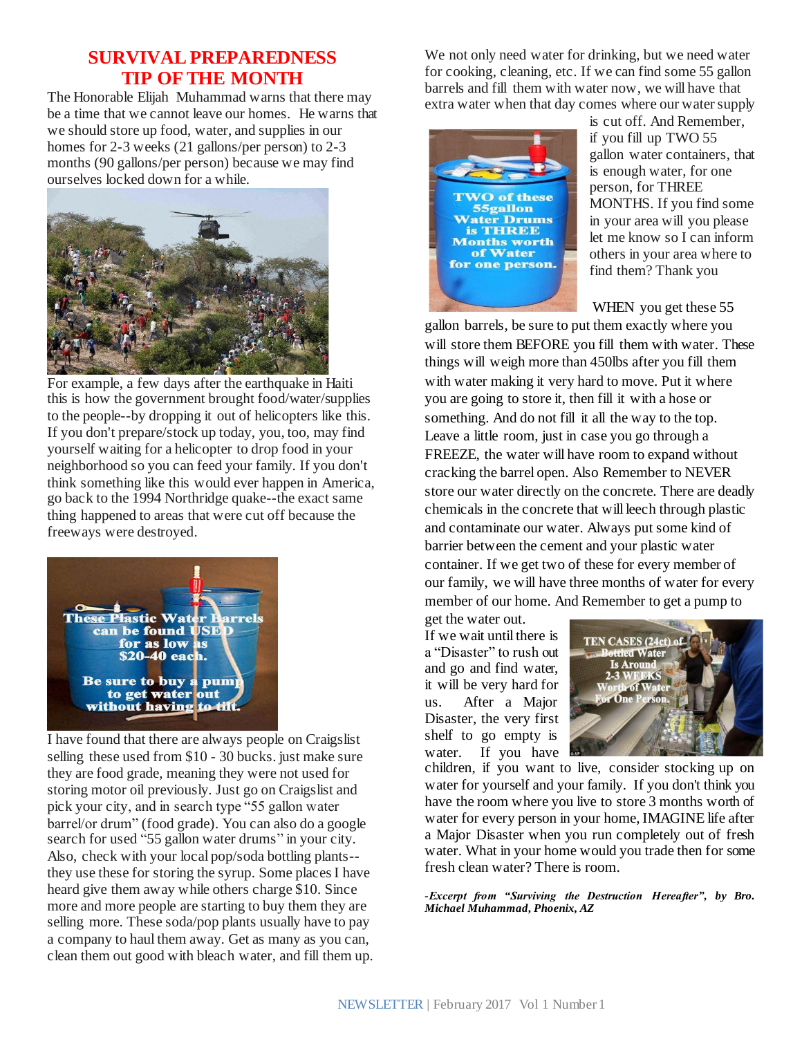#### **SURVIVAL PREPAREDNESS TIP OF THE MONTH**

The Honorable Elijah Muhammad warns that there may be a time that we cannot leave our homes. He warns that we should store up food, water, and supplies in our homes for 2-3 weeks (21 gallons/per person) to 2-3 months (90 gallons/per person) because we may find ourselves locked down for a while.



For example, a few days after the earthquake in Haiti this is how the government brought food/water/supplies to the people--by dropping it out of helicopters like this. If you don't prepare/stock up today, you, too, may find yourself waiting for a helicopter to drop food in your neighborhood so you can feed your family. If you don't think something like this would ever happen in America, go back to the 1994 Northridge quake--the exact same thing happened to areas that were cut off because the freeways were destroyed.



I have found that there are always people on Craigslist selling these used from \$10 - 30 bucks. just make sure they are food grade, meaning they were not used for storing motor oil previously. Just go on Craigslist and pick your city, and in search type "55 gallon water barrel/or drum" (food grade). You can also do a google search for used "55 gallon water drums" in your city. Also, check with your local pop/soda bottling plants- they use these for storing the syrup. Some places I have heard give them away while others charge \$10. Since more and more people are starting to buy them they are selling more. These soda/pop plants usually have to pay a company to haul them away. Get as many as you can, clean them out good with bleach water, and fill them up. We not only need water for drinking, but we need water for cooking, cleaning, etc. If we can find some 55 gallon barrels and fill them with water now, we will have that extra water when that day comes where our water supply



is cut off. And Remember, if you fill up TWO 55 gallon water containers, that is enough water, for one person, for THREE MONTHS. If you find some in your area will you please let me know so I can inform others in your area where to find them? Thank you

WHEN you get these 55

gallon barrels, be sure to put them exactly where you will store them BEFORE you fill them with water. These things will weigh more than 450lbs after you fill them with water making it very hard to move. Put it where you are going to store it, then fill it with a hose or something. And do not fill it all the way to the top. Leave a little room, just in case you go through a FREEZE, the water will have room to expand without cracking the barrel open. Also Remember to NEVER store our water directly on the concrete. There are deadly chemicals in the concrete that will leech through plastic and contaminate our water. Always put some kind of barrier between the cement and your plastic water container. If we get two of these for every member of our family, we will have three months of water for every member of our home. And Remember to get a pump to

get the water out. If we wait until there is a "Disaster" to rush out and go and find water, it will be very hard for us. After a Major Disaster, the very first shelf to go empty is water. If you have



children, if you want to live, consider stocking up on water for yourself and your family. If you don't think you have the room where you live to store 3 months worth of water for every person in your home, IMAGINE life after a Major Disaster when you run completely out of fresh water. What in your home would you trade then for some fresh clean water? There is room.

*-Excerpt from "Surviving the Destruction Hereafter", by Bro. Michael Muhammad, Phoenix, AZ*